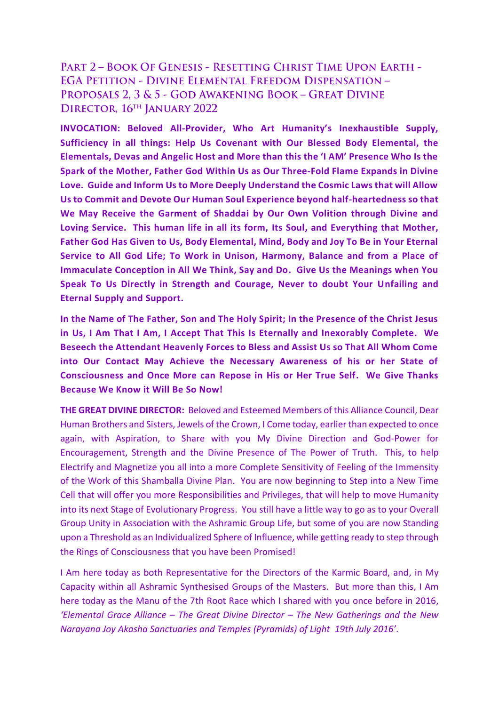## PART 2 - BOOK OF GENESIS - RESETTING CHRIST TIME UPON EARTH -**EGA PETITION - DIVINE ELEMENTAL FREEDOM DISPENSATION -**PROPOSALS 2, 3 & 5 - GOD AWAKENING BOOK - GREAT DIVINE DIRECTOR, 16<sup>TH</sup> JANUARY 2022

**INVOCATION: Beloved All-Provider, Who Art Humanity's Inexhaustible Supply, Sufficiency in all things: Help Us Covenant with Our Blessed Body Elemental, the Elementals, Devas and Angelic Host and More than this the 'I AM' Presence Who Is the Spark of the Mother, Father God Within Us as Our Three-Fold Flame Expands in Divine Love. Guide and Inform Us to More Deeply Understand the Cosmic Laws that will Allow Us to Commit and Devote Our Human Soul Experience beyond half-heartedness so that We May Receive the Garment of Shaddai by Our Own Volition through Divine and Loving Service. This human life in all its form, Its Soul, and Everything that Mother, Father God Has Given to Us, Body Elemental, Mind, Body and Joy To Be in Your Eternal Service to All God Life; To Work in Unison, Harmony, Balance and from a Place of Immaculate Conception in All We Think, Say and Do. Give Us the Meanings when You Speak To Us Directly in Strength and Courage, Never to doubt Your Unfailing and Eternal Supply and Support.** 

**In the Name of The Father, Son and The Holy Spirit; In the Presence of the Christ Jesus in Us, I Am That I Am, I Accept That This Is Eternally and Inexorably Complete. We Beseech the Attendant Heavenly Forces to Bless and Assist Us so That All Whom Come into Our Contact May Achieve the Necessary Awareness of his or her State of Consciousness and Once More can Repose in His or Her True Self. We Give Thanks Because We Know it Will Be So Now!**

**THE GREAT DIVINE DIRECTOR:** Beloved and Esteemed Members of this Alliance Council, Dear Human Brothers and Sisters, Jewels of the Crown, I Come today, earlier than expected to once again, with Aspiration, to Share with you My Divine Direction and God-Power for Encouragement, Strength and the Divine Presence of The Power of Truth. This, to help Electrify and Magnetize you all into a more Complete Sensitivity of Feeling of the Immensity of the Work of this Shamballa Divine Plan. You are now beginning to Step into a New Time Cell that will offer you more Responsibilities and Privileges, that will help to move Humanity into its next Stage of Evolutionary Progress. You still have a little way to go as to your Overall Group Unity in Association with the Ashramic Group Life, but some of you are now Standing upon a Threshold as an Individualized Sphere of Influence, while getting ready to step through the Rings of Consciousness that you have been Promised!

I Am here today as both Representative for the Directors of the Karmic Board, and, in My Capacity within all Ashramic Synthesised Groups of the Masters. But more than this, I Am here today as the Manu of the 7th Root Race which I shared with you once before in 2016, *'Elemental Grace Alliance – The Great Divine Director – The New Gatherings and the New Narayana Joy Akasha Sanctuaries and Temples (Pyramids) of Light 19th July 2016'.*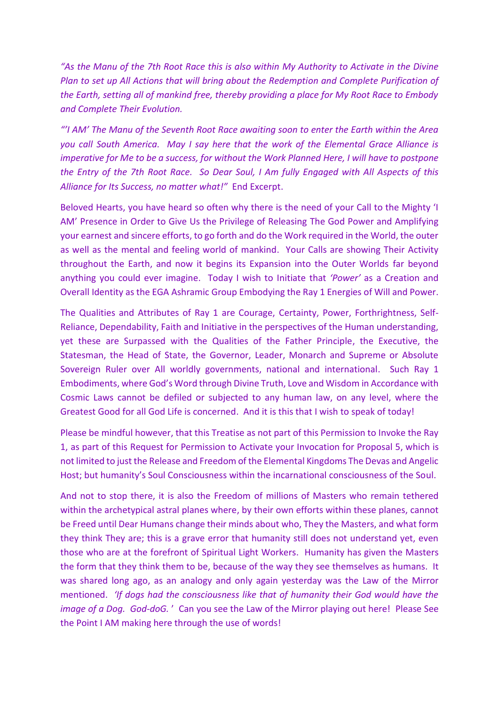*"As the Manu of the 7th Root Race this is also within My Authority to Activate in the Divine Plan to set up All Actions that will bring about the Redemption and Complete Purification of the Earth, setting all of mankind free, thereby providing a place for My Root Race to Embody and Complete Their Evolution.* 

*"'I AM' The Manu of the Seventh Root Race awaiting soon to enter the Earth within the Area you call South America. May I say here that the work of the Elemental Grace Alliance is imperative for Me to be a success, for without the Work Planned Here, I will have to postpone the Entry of the 7th Root Race. So Dear Soul, I Am fully Engaged with All Aspects of this Alliance for Its Success, no matter what!"* End Excerpt.

Beloved Hearts, you have heard so often why there is the need of your Call to the Mighty 'I AM' Presence in Order to Give Us the Privilege of Releasing The God Power and Amplifying your earnest and sincere efforts, to go forth and do the Work required in the World, the outer as well as the mental and feeling world of mankind. Your Calls are showing Their Activity throughout the Earth, and now it begins its Expansion into the Outer Worlds far beyond anything you could ever imagine. Today I wish to Initiate that *'Power'* as a Creation and Overall Identity as the EGA Ashramic Group Embodying the Ray 1 Energies of Will and Power.

The Qualities and Attributes of Ray 1 are Courage, Certainty, Power, Forthrightness, Self-Reliance, Dependability, Faith and Initiative in the perspectives of the Human understanding, yet these are Surpassed with the Qualities of the Father Principle, the Executive, the Statesman, the Head of State, the Governor, Leader, Monarch and Supreme or Absolute Sovereign Ruler over All worldly governments, national and international. Such Ray 1 Embodiments, where God's Word through Divine Truth, Love and Wisdom in Accordance with Cosmic Laws cannot be defiled or subjected to any human law, on any level, where the Greatest Good for all God Life is concerned. And it is this that I wish to speak of today!

Please be mindful however, that this Treatise as not part of this Permission to Invoke the Ray 1, as part of this Request for Permission to Activate your Invocation for Proposal 5, which is not limited to just the Release and Freedom of the Elemental Kingdoms The Devas and Angelic Host; but humanity's Soul Consciousness within the incarnational consciousness of the Soul.

And not to stop there, it is also the Freedom of millions of Masters who remain tethered within the archetypical astral planes where, by their own efforts within these planes, cannot be Freed until Dear Humans change their minds about who, They the Masters, and what form they think They are; this is a grave error that humanity still does not understand yet, even those who are at the forefront of Spiritual Light Workers. Humanity has given the Masters the form that they think them to be, because of the way they see themselves as humans. It was shared long ago, as an analogy and only again yesterday was the Law of the Mirror mentioned. *'If dogs had the consciousness like that of humanity their God would have the image of a Dog. God-doG.* ' Can you see the Law of the Mirror playing out here! Please See the Point I AM making here through the use of words!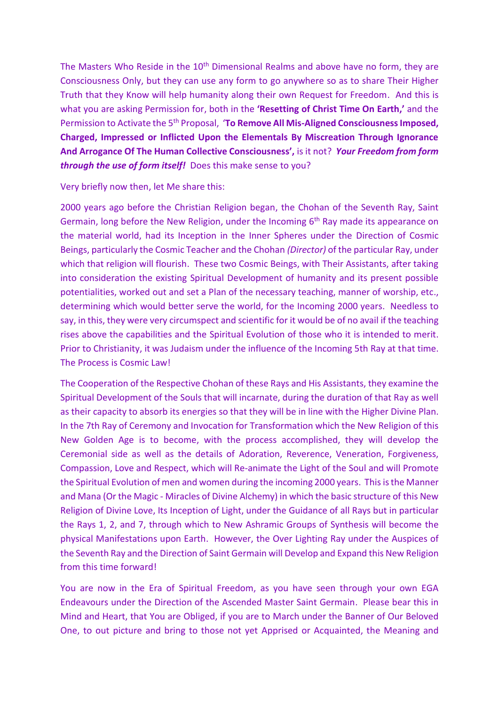The Masters Who Reside in the  $10<sup>th</sup>$  Dimensional Realms and above have no form, they are Consciousness Only, but they can use any form to go anywhere so as to share Their Higher Truth that they Know will help humanity along their own Request for Freedom. And this is what you are asking Permission for, both in the **'Resetting of Christ Time On Earth,'** and the Permission to Activate the 5<sup>th</sup> Proposal, 'To Remove All Mis-Aligned Consciousness Imposed, **Charged, Impressed or Inflicted Upon the Elementals By Miscreation Through Ignorance And Arrogance Of The Human Collective Consciousness',** is it not? *Your Freedom from form through the use of form itself!* Does this make sense to you?

## Very briefly now then, let Me share this:

2000 years ago before the Christian Religion began, the Chohan of the Seventh Ray, Saint Germain, long before the New Religion, under the Incoming 6<sup>th</sup> Ray made its appearance on the material world, had its Inception in the Inner Spheres under the Direction of Cosmic Beings, particularly the Cosmic Teacher and the Chohan *(Director)* of the particular Ray, under which that religion will flourish. These two Cosmic Beings, with Their Assistants, after taking into consideration the existing Spiritual Development of humanity and its present possible potentialities, worked out and set a Plan of the necessary teaching, manner of worship, etc., determining which would better serve the world, for the Incoming 2000 years. Needless to say, in this, they were very circumspect and scientific for it would be of no avail if the teaching rises above the capabilities and the Spiritual Evolution of those who it is intended to merit. Prior to Christianity, it was Judaism under the influence of the Incoming 5th Ray at that time. The Process is Cosmic Law!

The Cooperation of the Respective Chohan of these Rays and His Assistants, they examine the Spiritual Development of the Souls that will incarnate, during the duration of that Ray as well as their capacity to absorb its energies so that they will be in line with the Higher Divine Plan. In the 7th Ray of Ceremony and Invocation for Transformation which the New Religion of this New Golden Age is to become, with the process accomplished, they will develop the Ceremonial side as well as the details of Adoration, Reverence, Veneration, Forgiveness, Compassion, Love and Respect, which will Re-animate the Light of the Soul and will Promote the Spiritual Evolution of men and women during the incoming 2000 years. This is the Manner and Mana (Or the Magic - Miracles of Divine Alchemy) in which the basic structure of this New Religion of Divine Love, Its Inception of Light, under the Guidance of all Rays but in particular the Rays 1, 2, and 7, through which to New Ashramic Groups of Synthesis will become the physical Manifestations upon Earth. However, the Over Lighting Ray under the Auspices of the Seventh Ray and the Direction of Saint Germain will Develop and Expand this New Religion from this time forward!

You are now in the Era of Spiritual Freedom, as you have seen through your own EGA Endeavours under the Direction of the Ascended Master Saint Germain. Please bear this in Mind and Heart, that You are Obliged, if you are to March under the Banner of Our Beloved One, to out picture and bring to those not yet Apprised or Acquainted, the Meaning and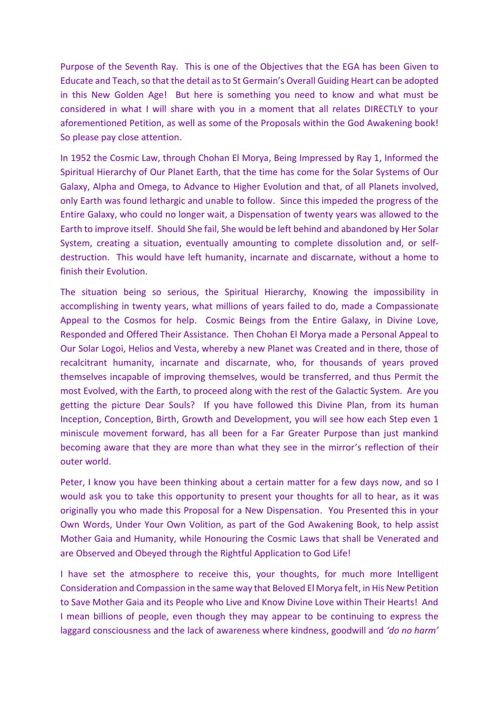Purpose of the Seventh Ray. This is one of the Objectives that the EGA has been Given to Educate and Teach, so that the detail as to St Germain's Overall Guiding Heart can be adopted in this New Golden Age! But here is something you need to know and what must be considered in what I will share with you in a moment that all relates DIRECTLY to your aforementioned Petition, as well as some of the Proposals within the God Awakening book! So please pay close attention.

In 1952 the Cosmic Law, through Chohan El Morya, Being Impressed by Ray 1, Informed the Spiritual Hierarchy of Our Planet Earth, that the time has come for the Solar Systems of Our Galaxy, Alpha and Omega, to Advance to Higher Evolution and that, of all Planets involved, only Earth was found lethargic and unable to follow. Since this impeded the progress of the Entire Galaxy, who could no longer wait, a Dispensation of twenty years was allowed to the Earth to improve itself. Should She fail, She would be left behind and abandoned by Her Solar System, creating a situation, eventually amounting to complete dissolution and, or selfdestruction. This would have left humanity, incarnate and discarnate, without a home to finish their Evolution.

The situation being so serious, the Spiritual Hierarchy, Knowing the impossibility in accomplishing in twenty years, what millions of years failed to do, made a Compassionate Appeal to the Cosmos for help. Cosmic Beings from the Entire Galaxy, in Divine Love, Responded and Offered Their Assistance. Then Chohan El Morya made a Personal Appeal to Our Solar Logoi, Helios and Vesta, whereby a new Planet was Created and in there, those of recalcitrant humanity, incarnate and discarnate, who, for thousands of years proved themselves incapable of improving themselves, would be transferred, and thus Permit the most Evolved, with the Earth, to proceed along with the rest of the Galactic System. Are you getting the picture Dear Souls? If you have followed this Divine Plan, from its human Inception, Conception, Birth, Growth and Development, you will see how each Step even 1 miniscule movement forward, has all been for a Far Greater Purpose than just mankind becoming aware that they are more than what they see in the mirror's reflection of their outer world.

Peter, I know you have been thinking about a certain matter for a few days now, and so I would ask you to take this opportunity to present your thoughts for all to hear, as it was originally you who made this Proposal for a New Dispensation. You Presented this in your Own Words, Under Your Own Volition, as part of the God Awakening Book, to help assist Mother Gaia and Humanity, while Honouring the Cosmic Laws that shall be Venerated and are Observed and Obeyed through the Rightful Application to God Life!

I have set the atmosphere to receive this, your thoughts, for much more Intelligent Consideration and Compassion in the same way that Beloved El Morya felt, in His New Petition to Save Mother Gaia and its People who Live and Know Divine Love within Their Hearts! And I mean billions of people, even though they may appear to be continuing to express the laggard consciousness and the lack of awareness where kindness, goodwill and *'do no harm'*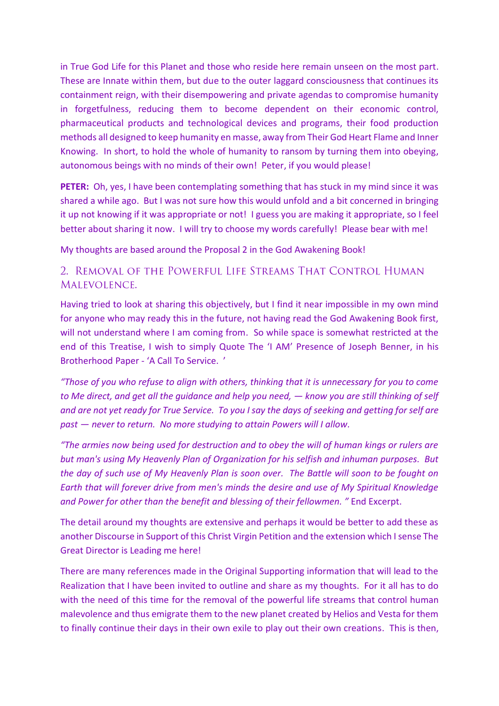in True God Life for this Planet and those who reside here remain unseen on the most part. These are Innate within them, but due to the outer laggard consciousness that continues its containment reign, with their disempowering and private agendas to compromise humanity in forgetfulness, reducing them to become dependent on their economic control, pharmaceutical products and technological devices and programs, their food production methods all designed to keep humanity en masse, away from Their God Heart Flame and Inner Knowing. In short, to hold the whole of humanity to ransom by turning them into obeying, autonomous beings with no minds of their own! Peter, if you would please!

**PETER:** Oh, yes, I have been contemplating something that has stuck in my mind since it was shared a while ago. But I was not sure how this would unfold and a bit concerned in bringing it up not knowing if it was appropriate or not! I guess you are making it appropriate, so I feel better about sharing it now. I will try to choose my words carefully! Please bear with me!

My thoughts are based around the Proposal 2 in the God Awakening Book!

## 2. REMOVAL OF THE POWERFUL LIFE STREAMS THAT CONTROL HUMAN MALEVOLENCE.

Having tried to look at sharing this objectively, but I find it near impossible in my own mind for anyone who may ready this in the future, not having read the God Awakening Book first, will not understand where I am coming from. So while space is somewhat restricted at the end of this Treatise, I wish to simply Quote The 'I AM' Presence of Joseph Benner, in his Brotherhood Paper - 'A Call To Service. '

*"Those of you who refuse to align with others, thinking that it is unnecessary for you to come to Me direct, and get all the guidance and help you need, — know you are still thinking of self and are not yet ready for True Service. To you I say the days of seeking and getting for self are past — never to return. No more studying to attain Powers will I allow.* 

*"The armies now being used for destruction and to obey the will of human kings or rulers are but man's using My Heavenly Plan of Organization for his selfish and inhuman purposes. But the day of such use of My Heavenly Plan is soon over. The Battle will soon to be fought on Earth that will forever drive from men's minds the desire and use of My Spiritual Knowledge and Power for other than the benefit and blessing of their fellowmen. "* End Excerpt.

The detail around my thoughts are extensive and perhaps it would be better to add these as another Discourse in Support of this Christ Virgin Petition and the extension which I sense The Great Director is Leading me here!

There are many references made in the Original Supporting information that will lead to the Realization that I have been invited to outline and share as my thoughts. For it all has to do with the need of this time for the removal of the powerful life streams that control human malevolence and thus emigrate them to the new planet created by Helios and Vesta for them to finally continue their days in their own exile to play out their own creations. This is then,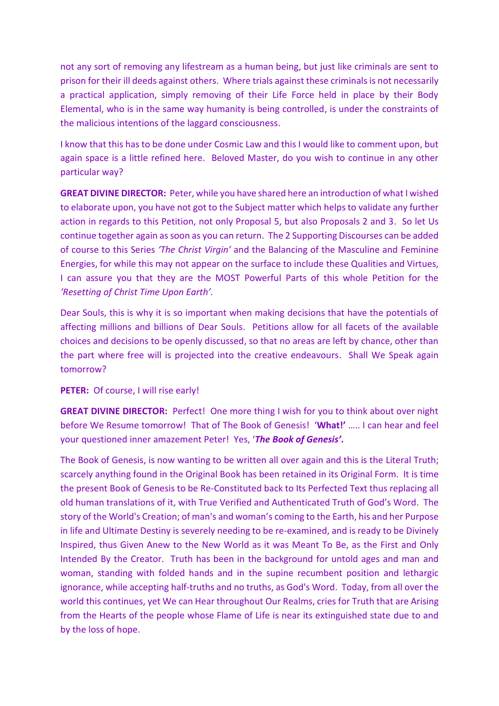not any sort of removing any lifestream as a human being, but just like criminals are sent to prison for their ill deeds against others. Where trials against these criminals is not necessarily a practical application, simply removing of their Life Force held in place by their Body Elemental, who is in the same way humanity is being controlled, is under the constraints of the malicious intentions of the laggard consciousness.

I know that this has to be done under Cosmic Law and this I would like to comment upon, but again space is a little refined here. Beloved Master, do you wish to continue in any other particular way?

**GREAT DIVINE DIRECTOR:** Peter, while you have shared here an introduction of what I wished to elaborate upon, you have not got to the Subject matter which helps to validate any further action in regards to this Petition, not only Proposal 5, but also Proposals 2 and 3. So let Us continue together again as soon as you can return. The 2 Supporting Discourses can be added of course to this Series *'The Christ Virgin'* and the Balancing of the Masculine and Feminine Energies, for while this may not appear on the surface to include these Qualities and Virtues, I can assure you that they are the MOST Powerful Parts of this whole Petition for the *'Resetting of Christ Time Upon Earth'.* 

Dear Souls, this is why it is so important when making decisions that have the potentials of affecting millions and billions of Dear Souls. Petitions allow for all facets of the available choices and decisions to be openly discussed, so that no areas are left by chance, other than the part where free will is projected into the creative endeavours. Shall We Speak again tomorrow?

## **PETER:** Of course, I will rise early!

**GREAT DIVINE DIRECTOR:** Perfect! One more thing I wish for you to think about over night before We Resume tomorrow! That of The Book of Genesis! '**What!'** ….. I can hear and feel your questioned inner amazement Peter! Yes, '*The Book of Genesis'***.** 

The Book of Genesis, is now wanting to be written all over again and this is the Literal Truth; scarcely anything found in the Original Book has been retained in its Original Form. It is time the present Book of Genesis to be Re-Constituted back to Its Perfected Text thus replacing all old human translations of it, with True Verified and Authenticated Truth of God's Word. The story of the World's Creation; of man's and woman's coming to the Earth, his and her Purpose in life and Ultimate Destiny is severely needing to be re-examined, and is ready to be Divinely Inspired, thus Given Anew to the New World as it was Meant To Be, as the First and Only Intended By the Creator. Truth has been in the background for untold ages and man and woman, standing with folded hands and in the supine recumbent position and lethargic ignorance, while accepting half-truths and no truths, as God's Word. Today, from all over the world this continues, yet We can Hear throughout Our Realms, cries for Truth that are Arising from the Hearts of the people whose Flame of Life is near its extinguished state due to and by the loss of hope.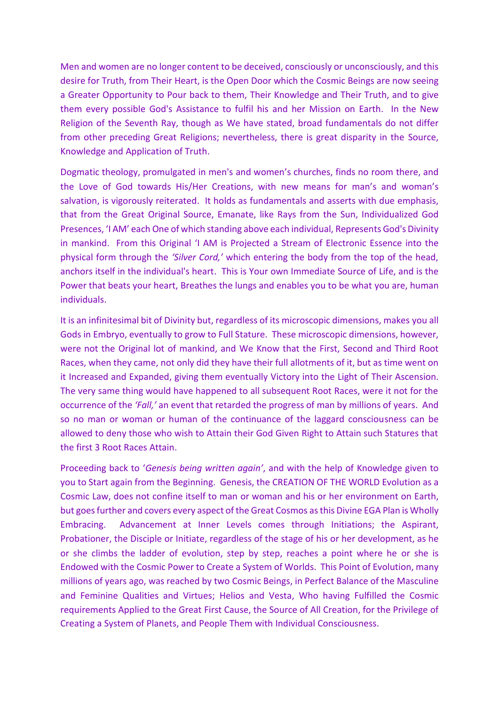Men and women are no longer content to be deceived, consciously or unconsciously, and this desire for Truth, from Their Heart, is the Open Door which the Cosmic Beings are now seeing a Greater Opportunity to Pour back to them, Their Knowledge and Their Truth, and to give them every possible God's Assistance to fulfil his and her Mission on Earth. In the New Religion of the Seventh Ray, though as We have stated, broad fundamentals do not differ from other preceding Great Religions; nevertheless, there is great disparity in the Source, Knowledge and Application of Truth.

Dogmatic theology, promulgated in men's and women's churches, finds no room there, and the Love of God towards His/Her Creations, with new means for man's and woman's salvation, is vigorously reiterated. It holds as fundamentals and asserts with due emphasis, that from the Great Original Source, Emanate, like Rays from the Sun, Individualized God Presences, 'I AM' each One of which standing above each individual, Represents God's Divinity in mankind. From this Original 'I AM is Projected a Stream of Electronic Essence into the physical form through the *'Silver Cord,'* which entering the body from the top of the head, anchors itself in the individual's heart. This is Your own Immediate Source of Life, and is the Power that beats your heart, Breathes the lungs and enables you to be what you are, human individuals.

It is an infinitesimal bit of Divinity but, regardless of its microscopic dimensions, makes you all Gods in Embryo, eventually to grow to Full Stature. These microscopic dimensions, however, were not the Original lot of mankind, and We Know that the First, Second and Third Root Races, when they came, not only did they have their full allotments of it, but as time went on it Increased and Expanded, giving them eventually Victory into the Light of Their Ascension. The very same thing would have happened to all subsequent Root Races, were it not for the occurrence of the *'Fall,'* an event that retarded the progress of man by millions of years. And so no man or woman or human of the continuance of the laggard consciousness can be allowed to deny those who wish to Attain their God Given Right to Attain such Statures that the first 3 Root Races Attain.

Proceeding back to '*Genesis being written again'*, and with the help of Knowledge given to you to Start again from the Beginning. Genesis, the CREATION OF THE WORLD Evolution as a Cosmic Law, does not confine itself to man or woman and his or her environment on Earth, but goes further and covers every aspect of the Great Cosmos as this Divine EGA Plan is Wholly Embracing. Advancement at Inner Levels comes through Initiations; the Aspirant, Probationer, the Disciple or Initiate, regardless of the stage of his or her development, as he or she climbs the ladder of evolution, step by step, reaches a point where he or she is Endowed with the Cosmic Power to Create a System of Worlds. This Point of Evolution, many millions of years ago, was reached by two Cosmic Beings, in Perfect Balance of the Masculine and Feminine Qualities and Virtues; Helios and Vesta, Who having Fulfilled the Cosmic requirements Applied to the Great First Cause, the Source of All Creation, for the Privilege of Creating a System of Planets, and People Them with Individual Consciousness.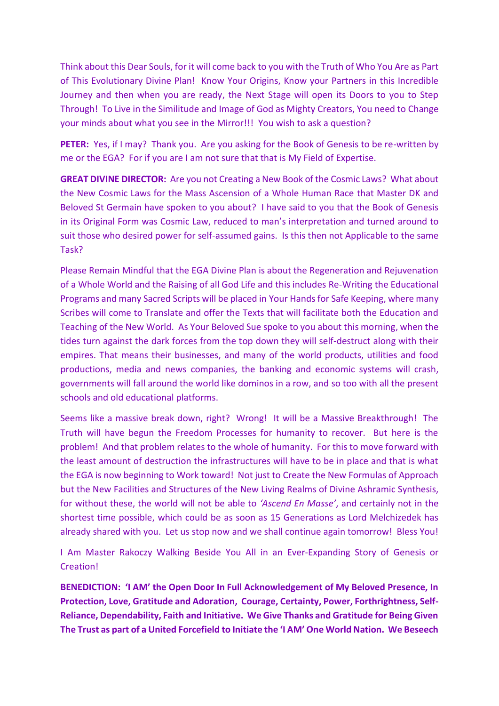Think about this Dear Souls, for it will come back to you with the Truth of Who You Are as Part of This Evolutionary Divine Plan! Know Your Origins, Know your Partners in this Incredible Journey and then when you are ready, the Next Stage will open its Doors to you to Step Through! To Live in the Similitude and Image of God as Mighty Creators, You need to Change your minds about what you see in the Mirror!!! You wish to ask a question?

**PETER:** Yes, if I may? Thank you. Are you asking for the Book of Genesis to be re-written by me or the EGA? For if you are I am not sure that that is My Field of Expertise.

**GREAT DIVINE DIRECTOR:** Are you not Creating a New Book of the Cosmic Laws? What about the New Cosmic Laws for the Mass Ascension of a Whole Human Race that Master DK and Beloved St Germain have spoken to you about? I have said to you that the Book of Genesis in its Original Form was Cosmic Law, reduced to man's interpretation and turned around to suit those who desired power for self-assumed gains. Is this then not Applicable to the same Task?

Please Remain Mindful that the EGA Divine Plan is about the Regeneration and Rejuvenation of a Whole World and the Raising of all God Life and this includes Re-Writing the Educational Programs and many Sacred Scripts will be placed in Your Hands for Safe Keeping, where many Scribes will come to Translate and offer the Texts that will facilitate both the Education and Teaching of the New World. As Your Beloved Sue spoke to you about this morning, when the tides turn against the dark forces from the top down they will self-destruct along with their empires. That means their businesses, and many of the world products, utilities and food productions, media and news companies, the banking and economic systems will crash, governments will fall around the world like dominos in a row, and so too with all the present schools and old educational platforms.

Seems like a massive break down, right? Wrong! It will be a Massive Breakthrough! The Truth will have begun the Freedom Processes for humanity to recover. But here is the problem! And that problem relates to the whole of humanity. For this to move forward with the least amount of destruction the infrastructures will have to be in place and that is what the EGA is now beginning to Work toward! Not just to Create the New Formulas of Approach but the New Facilities and Structures of the New Living Realms of Divine Ashramic Synthesis, for without these, the world will not be able to *'Ascend En Masse'*, and certainly not in the shortest time possible, which could be as soon as 15 Generations as Lord Melchizedek has already shared with you. Let us stop now and we shall continue again tomorrow! Bless You!

I Am Master Rakoczy Walking Beside You All in an Ever-Expanding Story of Genesis or Creation!

**BENEDICTION: 'I AM' the Open Door In Full Acknowledgement of My Beloved Presence, In Protection, Love, Gratitude and Adoration, Courage, Certainty, Power, Forthrightness, Self-Reliance, Dependability, Faith and Initiative. We Give Thanks and Gratitude for Being Given The Trust as part of a United Forcefield to Initiate the 'I AM' One World Nation. We Beseech**